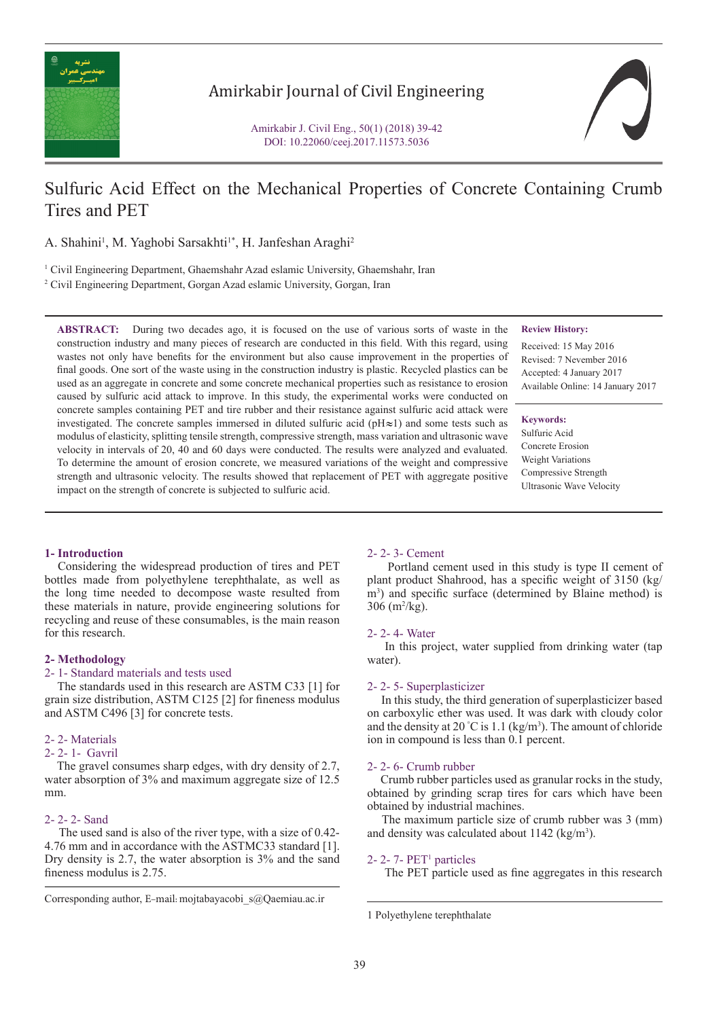

## Amirkabir Journal of Civil Engineering

Amirkabir J. Civil Eng., 50(1) (2018) 39-42 DOI: 10.22060/ceej.2017.11573.5036

# Sulfuric Acid Effect on the Mechanical Properties of Concrete Containing Crumb Tires and PET

A. Shahini<sup>1</sup>, M. Yaghobi Sarsakhti<sup>1\*</sup>, H. Janfeshan Araghi<sup>2</sup>

<sup>1</sup> Civil Engineering Department, Ghaemshahr Azad eslamic University, Ghaemshahr, Iran 2 Civil Engineering Department, Gorgan Azad eslamic University, Gorgan, Iran

**ABSTRACT:** During two decades ago, it is focused on the use of various sorts of waste in the construction industry and many pieces of research are conducted in this field. With this regard, using wastes not only have benefits for the environment but also cause improvement in the properties of final goods. One sort of the waste using in the construction industry is plastic. Recycled plastics can be used as an aggregate in concrete and some concrete mechanical properties such as resistance to erosion caused by sulfuric acid attack to improve. In this study, the experimental works were conducted on concrete samples containing PET and tire rubber and their resistance against sulfuric acid attack were investigated. The concrete samples immersed in diluted sulfuric acid ( $pH \approx 1$ ) and some tests such as modulus of elasticity, splitting tensile strength, compressive strength, mass variation and ultrasonic wave velocity in intervals of 20, 40 and 60 days were conducted. The results were analyzed and evaluated. To determine the amount of erosion concrete, we measured variations of the weight and compressive strength and ultrasonic velocity. The results showed that replacement of PET with aggregate positive impact on the strength of concrete is subjected to sulfuric acid.

#### **Review History:**

Received: 15 May 2016 Revised: 7 Nevember 2016 Accepted: 4 January 2017 Available Online: 14 January 2017

### **Keywords:**

Sulfuric Acid Concrete Erosion Weight Variations Compressive Strength Ultrasonic Wave Velocity

### **1- Introduction**

 Considering the widespread production of tires and PET bottles made from polyethylene terephthalate, as well as the long time needed to decompose waste resulted from these materials in nature, provide engineering solutions for recycling and reuse of these consumables, is the main reason for this research.

#### **2- Methodology**

#### 2- 1- Standard materials and tests used

 The standards used in this research are ASTM C33 [1] for grain size distribution, ASTM C125 [2] for fineness modulus and ASTM C496 [3] for concrete tests.

#### 2- 2- Materials

## 2- 2- 1- Gavril

 The gravel consumes sharp edges, with dry density of 2.7, water absorption of 3% and maximum aggregate size of 12.5 mm.

#### 2- 2- 2- Sand

 The used sand is also of the river type, with a size of 0.42- 4.76 mm and in accordance with the ASTMC33 standard [1]. Dry density is 2.7, the water absorption is 3% and the sand fineness modulus is 2.75.

#### 2- 2- 3- Cement

 Portland cement used in this study is type II cement of plant product Shahrood, has a specific weight of 3150 (kg/ m<sup>3</sup>) and specific surface (determined by Blaine method) is 306 (m2 /kg).

#### 2- 2- 4- Water

 In this project, water supplied from drinking water (tap water).

#### 2- 2- 5- Superplasticizer

 In this study, the third generation of superplasticizer based on carboxylic ether was used. It was dark with cloudy color and the density at 20 °C is 1.1 (kg/m<sup>3</sup>). The amount of chloride ion in compound is less than 0.1 percent.

#### 2- 2- 6- Crumb rubber

 Crumb rubber particles used as granular rocks in the study, obtained by grinding scrap tires for cars which have been obtained by industrial machines.

 The maximum particle size of crumb rubber was 3 (mm) and density was calculated about  $1142$  (kg/m<sup>3</sup>).

#### 2- 2- 7- PET1 particles

The PET particle used as fine aggregates in this research

Corresponding author, E-mail: mojtabayacobi\_s@Qaemiau.ac.ir

<sup>1</sup> Polyethylene terephthalate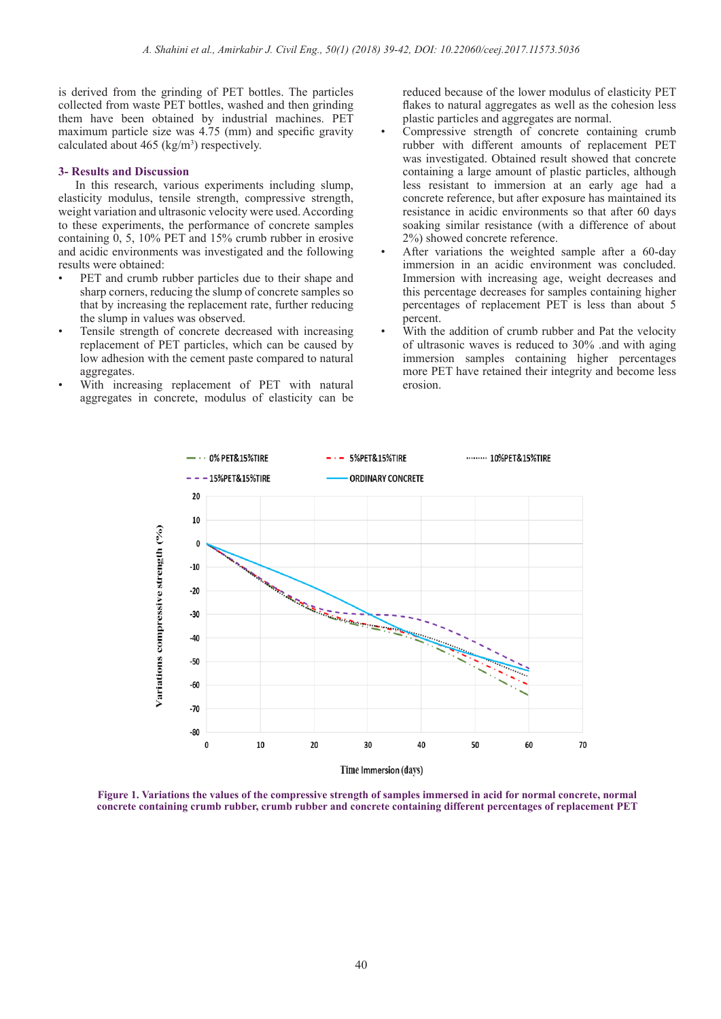is derived from the grinding of PET bottles. The particles collected from waste PET bottles, washed and then grinding them have been obtained by industrial machines. PET maximum particle size was 4.75 (mm) and specific gravity calculated about  $465$  (kg/m<sup>3</sup>) respectively.

#### **3- Results and Discussion**

 In this research, various experiments including slump, elasticity modulus, tensile strength, compressive strength, weight variation and ultrasonic velocity were used. According to these experiments, the performance of concrete samples containing  $0, 5, 10\%$  PET and 15% crumb rubber in erosive and acidic environments was investigated and the following results were obtained:

- PET and crumb rubber particles due to their shape and sharp corners, reducing the slump of concrete samples so that by increasing the replacement rate, further reducing the slump in values was observed.
- Tensile strength of concrete decreased with increasing replacement of PET particles, which can be caused by low adhesion with the cement paste compared to natural aggregates.
- With increasing replacement of PET with natural aggregates in concrete, modulus of elasticity can be

reduced because of the lower modulus of elasticity PET flakes to natural aggregates as well as the cohesion less plastic particles and aggregates are normal.

- Compressive strength of concrete containing crumb rubber with different amounts of replacement PET was investigated. Obtained result showed that concrete containing a large amount of plastic particles, although less resistant to immersion at an early age had a concrete reference, but after exposure has maintained its resistance in acidic environments so that after 60 days soaking similar resistance (with a difference of about 2%) showed concrete reference.
- After variations the weighted sample after a 60-day immersion in an acidic environment was concluded. Immersion with increasing age, weight decreases and this percentage decreases for samples containing higher percentages of replacement PET is less than about 5 percent.
- With the addition of crumb rubber and Pat the velocity of ultrasonic waves is reduced to 30% .and with aging immersion samples containing higher percentages more PET have retained their integrity and become less erosion.



**Figure 1. Variations the values of the compressive strength of samples immersed in acid for normal concrete, normal concrete containing crumb rubber, crumb rubber and concrete containing different percentages of replacement PET**